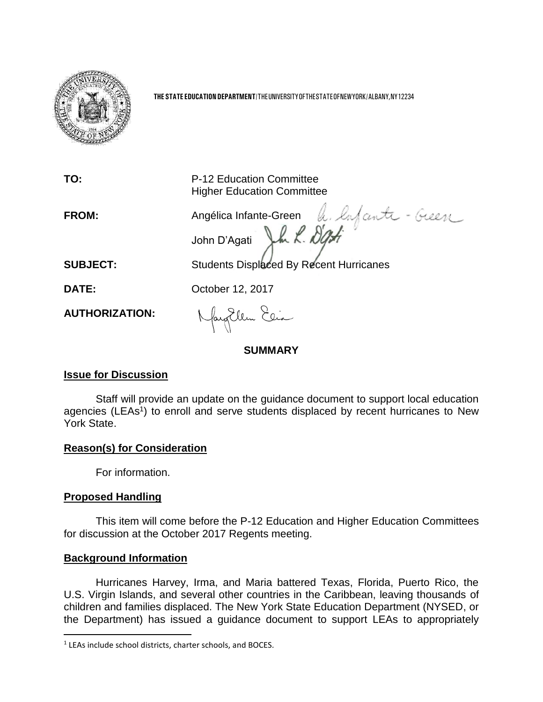

**THE STATE EDUCATION DEPARTMENT**/THEUNIVERSITYOFTHESTATEOFNEWYORK/ALBANY,NY12234

**TO:** P-12 Education Committee Higher Education Committee **FROM:** Angélica Infante-Green John D'Agati **SUBJECT:** Students Displaced By Recent Hurricanes **DATE: October 12, 2017** Naughlem Elia **AUTHORIZATION: SUMMARY**

## **Issue for Discussion**

Staff will provide an update on the guidance document to support local education agencies (LEAs<sup>1</sup>) to enroll and serve students displaced by recent hurricanes to New York State.

## **Reason(s) for Consideration**

For information.

## **Proposed Handling**

 $\overline{a}$ 

This item will come before the P-12 Education and Higher Education Committees for discussion at the October 2017 Regents meeting.

## **Background Information**

Hurricanes Harvey, Irma, and Maria battered Texas, Florida, Puerto Rico, the U.S. Virgin Islands, and several other countries in the Caribbean, leaving thousands of children and families displaced. The New York State Education Department (NYSED, or the Department) has issued a guidance document to support LEAs to appropriately

<sup>&</sup>lt;sup>1</sup> LEAs include school districts, charter schools, and BOCES.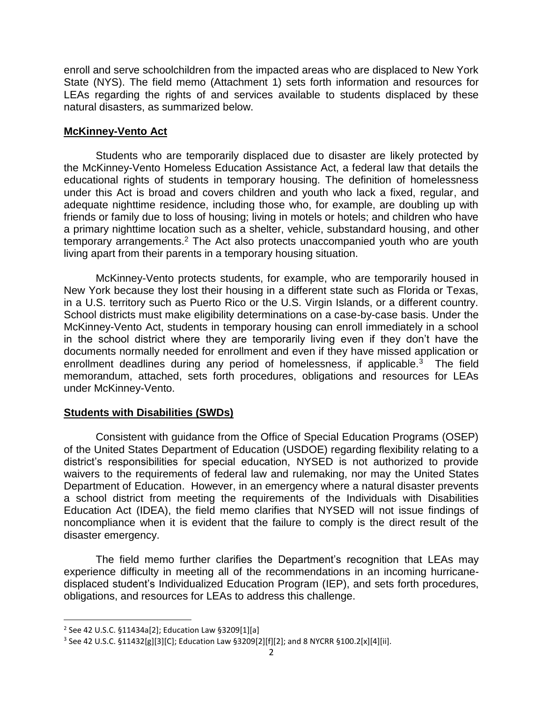enroll and serve schoolchildren from the impacted areas who are displaced to New York State (NYS). The field memo (Attachment 1) sets forth information and resources for LEAs regarding the rights of and services available to students displaced by these natural disasters, as summarized below.

## **McKinney-Vento Act**

Students who are temporarily displaced due to disaster are likely protected by the McKinney-Vento Homeless Education Assistance Act, a federal law that details the educational rights of students in temporary housing. The definition of homelessness under this Act is broad and covers children and youth who lack a fixed, regular, and adequate nighttime residence, including those who, for example, are doubling up with friends or family due to loss of housing; living in motels or hotels; and children who have a primary nighttime location such as a shelter, vehicle, substandard housing, and other temporary arrangements.<sup>2</sup> The Act also protects unaccompanied youth who are youth living apart from their parents in a temporary housing situation.

McKinney-Vento protects students, for example, who are temporarily housed in New York because they lost their housing in a different state such as Florida or Texas, in a U.S. territory such as Puerto Rico or the U.S. Virgin Islands, or a different country. School districts must make eligibility determinations on a case-by-case basis. Under the McKinney-Vento Act, students in temporary housing can enroll immediately in a school in the school district where they are temporarily living even if they don't have the documents normally needed for enrollment and even if they have missed application or enrollment deadlines during any period of homelessness, if applicable.<sup>3</sup> The field memorandum, attached, sets forth procedures, obligations and resources for LEAs under McKinney-Vento.

## **Students with Disabilities (SWDs)**

Consistent with guidance from the Office of Special Education Programs (OSEP) of the United States Department of Education (USDOE) regarding flexibility relating to a district's responsibilities for special education, NYSED is not authorized to provide waivers to the requirements of federal law and rulemaking, nor may the United States Department of Education. However, in an emergency where a natural disaster prevents a school district from meeting the requirements of the Individuals with Disabilities Education Act (IDEA), the field memo clarifies that NYSED will not issue findings of noncompliance when it is evident that the failure to comply is the direct result of the disaster emergency.

The field memo further clarifies the Department's recognition that LEAs may experience difficulty in meeting all of the recommendations in an incoming hurricanedisplaced student's Individualized Education Program (IEP), and sets forth procedures, obligations, and resources for LEAs to address this challenge.

 $\overline{\phantom{a}}$ 

<sup>2</sup> See 42 U.S.C. §11434a[2]; Education Law §3209[1][a]

 $^3$  See 42 U.S.C. §11432[g][3][C]; Education Law §3209[2][f][2]; and 8 NYCRR §100.2[x][4][ii].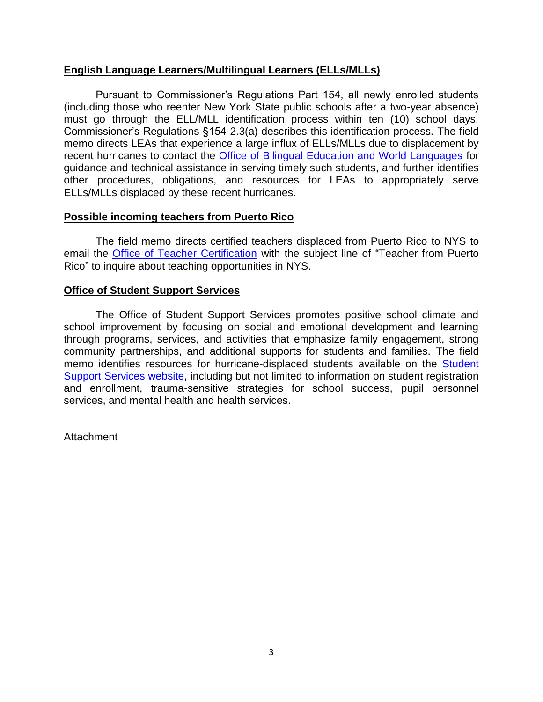## **English Language Learners/Multilingual Learners (ELLs/MLLs)**

Pursuant to Commissioner's Regulations Part 154, all newly enrolled students (including those who reenter New York State public schools after a two-year absence) must go through the ELL/MLL identification process within ten (10) school days. Commissioner's Regulations §154-2.3(a) describes this identification process. The field memo directs LEAs that experience a large influx of ELLs/MLLs due to displacement by recent hurricanes to contact the **[Office of Bilingual Education and World Languages](mailto:obewl@nysed.gov)** for guidance and technical assistance in serving timely such students, and further identifies other procedures, obligations, and resources for LEAs to appropriately serve ELLs/MLLs displaced by these recent hurricanes.

#### **Possible incoming teachers from Puerto Rico**

The field memo directs certified teachers displaced from Puerto Rico to NYS to email the [Office of Teacher Certification](mailto:tcert@nysed.gov) with the subject line of "Teacher from Puerto Rico" to inquire about teaching opportunities in NYS.

#### **Office of Student Support Services**

The Office of Student Support Services promotes positive school climate and school improvement by focusing on social and emotional development and learning through programs, services, and activities that emphasize family engagement, strong community partnerships, and additional supports for students and families. The field memo identifies resources for hurricane-displaced students available on the [Student](http://www.p12.nysed.gov/sss/)  [Support Services website,](http://www.p12.nysed.gov/sss/) including but not limited to information on student registration and enrollment, trauma-sensitive strategies for school success, pupil personnel services, and mental health and health services.

Attachment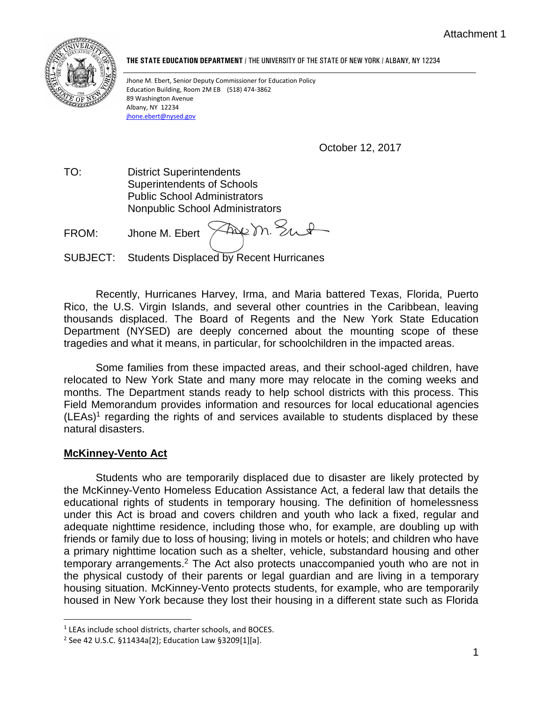

**THE STATE EDUCATION DEPARTMENT** / THE UNIVERSITY OF THE STATE OF NEW YORK / ALBANY, NY 12234

Jhone M. Ebert, Senior Deputy Commissioner for Education Policy Education Building, Room 2M EB (518) 474-3862 89 Washington Avenue Albany, NY 12234 [jhone.ebert@nysed.gov](mailto:jhone.ebert@nysed.gov)

October 12, 2017

TO: District Superintendents Superintendents of Schools Public School Administrators Nonpublic School Administrators

Freem Sut FROM: Jhone M. Ebert

SUBJECT: Students Displaced by Recent Hurricanes

Recently, Hurricanes Harvey, Irma, and Maria battered Texas, Florida, Puerto Rico, the U.S. Virgin Islands, and several other countries in the Caribbean, leaving thousands displaced. The Board of Regents and the New York State Education Department (NYSED) are deeply concerned about the mounting scope of these tragedies and what it means, in particular, for schoolchildren in the impacted areas.

Some families from these impacted areas, and their school-aged children, have relocated to New York State and many more may relocate in the coming weeks and months. The Department stands ready to help school districts with this process. This Field Memorandum provides information and resources for local educational agencies  $(LEAs)<sup>1</sup>$  regarding the rights of and services available to students displaced by these natural disasters.

#### **McKinney-Vento Act**

Students who are temporarily displaced due to disaster are likely protected by the McKinney-Vento Homeless Education Assistance Act, a federal law that details the educational rights of students in temporary housing. The definition of homelessness under this Act is broad and covers children and youth who lack a fixed, regular and adequate nighttime residence, including those who, for example, are doubling up with friends or family due to loss of housing; living in motels or hotels; and children who have a primary nighttime location such as a shelter, vehicle, substandard housing and other temporary arrangements.<sup>2</sup> The Act also protects unaccompanied youth who are not in the physical custody of their parents or legal guardian and are living in a temporary housing situation. McKinney-Vento protects students, for example, who are temporarily housed in New York because they lost their housing in a different state such as Florida

 $\overline{a}$ <sup>1</sup> LEAs include school districts, charter schools, and BOCES.

<sup>2</sup> See 42 U.S.C. §11434a[2]; Education Law §3209[1][a].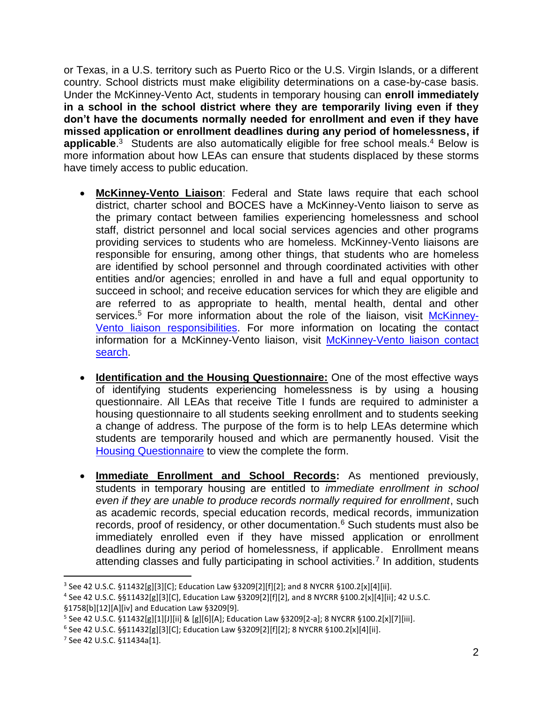or Texas, in a U.S. territory such as Puerto Rico or the U.S. Virgin Islands, or a different country. School districts must make eligibility determinations on a case-by-case basis. Under the McKinney-Vento Act, students in temporary housing can **enroll immediately in a school in the school district where they are temporarily living even if they don't have the documents normally needed for enrollment and even if they have missed application or enrollment deadlines during any period of homelessness, if**  applicable.<sup>3</sup> Students are also automatically eligible for free school meals.<sup>4</sup> Below is more information about how LEAs can ensure that students displaced by these storms have timely access to public education.

- **McKinney-Vento Liaison**: Federal and State laws require that each school district, charter school and BOCES have a McKinney-Vento liaison to serve as the primary contact between families experiencing homelessness and school staff, district personnel and local social services agencies and other programs providing services to students who are homeless. McKinney-Vento liaisons are responsible for ensuring, among other things, that students who are homeless are identified by school personnel and through coordinated activities with other entities and/or agencies; enrolled in and have a full and equal opportunity to succeed in school; and receive education services for which they are eligible and are referred to as appropriate to health, mental health, dental and other services.<sup>5</sup> For more information about the role of the liaison, visit [McKinney-](http://www.nysteachs.org/faqs/lea.html)[Vento liaison responsibilities.](http://www.nysteachs.org/faqs/lea.html) For more information on locating the contact information for a McKinney-Vento liaison, visit McKinney-Vento liaison contact [search.](http://www.nysteachs.org/liaisons/)
- **Identification and the Housing Questionnaire:** One of the most effective ways of identifying students experiencing homelessness is by using a housing questionnaire. All LEAs that receive Title I funds are required to administer a housing questionnaire to all students seeking enrollment and to students seeking a change of address. The purpose of the form is to help LEAs determine which students are temporarily housed and which are permanently housed. Visit the [Housing Questionnaire](http://www.nysteachs.org/media/INF_SED_HousingQuest.docx) to view the complete the form.
- **Immediate Enrollment and School Records:** As mentioned previously, students in temporary housing are entitled to *immediate enrollment in school even if they are unable to produce records normally required for enrollment*, such as academic records, special education records, medical records, immunization records, proof of residency, or other documentation.<sup>6</sup> Such students must also be immediately enrolled even if they have missed application or enrollment deadlines during any period of homelessness, if applicable. Enrollment means attending classes and fully participating in school activities.<sup>7</sup> In addition, students

 $\overline{a}$ 

<sup>&</sup>lt;sup>3</sup> See 42 U.S.C. §11432[g][3][C]; Education Law §3209[2][f][2]; and 8 NYCRR §100.2[x][4][ii].

<sup>4</sup> See 42 U.S.C. §§11432[g][3][C], Education Law §3209[2][f][2], and 8 NYCRR §100.2[x][4][ii]; 42 U.S.C.

<sup>§1758[</sup>b][12][A][iv] and Education Law §3209[9].

<sup>&</sup>lt;sup>5</sup> See 42 U.S.C. §11432[g][1][J][ii] & [g][6][A]; Education Law §3209[2-a]; 8 NYCRR §100.2[x][7][iii].

<sup>6</sup> See 42 U.S.C. §§11432[g][3][C]; Education Law §3209[2][f][2]; 8 NYCRR §100.2[x][4][ii].

<sup>7</sup> See 42 U.S.C. §11434a[1].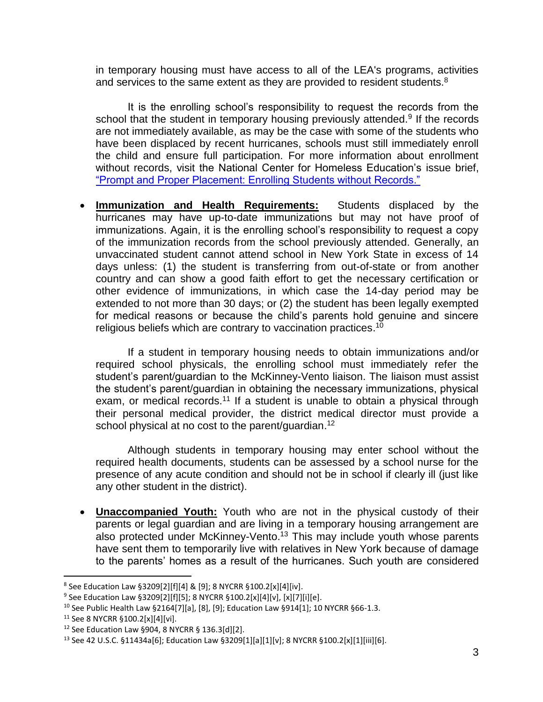in temporary housing must have access to all of the LEA's programs, activities and services to the same extent as they are provided to resident students.<sup>8</sup>

It is the enrolling school's responsibility to request the records from the school that the student in temporary housing previously attended.<sup>9</sup> If the records are not immediately available, as may be the case with some of the students who have been displaced by recent hurricanes, schools must still immediately enroll the child and ensure full participation. For more information about enrollment without records, visit the National Center for Homeless Education's issue brief, ["Prompt and Proper Placement: Enrolling Students without Records."](https://nche.ed.gov/downloads/briefs/assessment.pdf)

• **Immunization and Health Requirements:** Students displaced by the hurricanes may have up-to-date immunizations but may not have proof of immunizations. Again, it is the enrolling school's responsibility to request a copy of the immunization records from the school previously attended. Generally, an unvaccinated student cannot attend school in New York State in excess of 14 days unless: (1) the student is transferring from out-of-state or from another country and can show a good faith effort to get the necessary certification or other evidence of immunizations, in which case the 14-day period may be extended to not more than 30 days; or (2) the student has been legally exempted for medical reasons or because the child's parents hold genuine and sincere religious beliefs which are contrary to vaccination practices. 10

If a student in temporary housing needs to obtain immunizations and/or required school physicals, the enrolling school must immediately refer the student's parent/guardian to the McKinney-Vento liaison. The liaison must assist the student's parent/guardian in obtaining the necessary immunizations, physical exam, or medical records.<sup>11</sup> If a student is unable to obtain a physical through their personal medical provider, the district medical director must provide a school physical at no cost to the parent/guardian.<sup>12</sup>

Although students in temporary housing may enter school without the required health documents, students can be assessed by a school nurse for the presence of any acute condition and should not be in school if clearly ill (just like any other student in the district).

• **Unaccompanied Youth:** Youth who are not in the physical custody of their parents or legal guardian and are living in a temporary housing arrangement are also protected under McKinney-Vento.<sup>13</sup> This may include youth whose parents have sent them to temporarily live with relatives in New York because of damage to the parents' homes as a result of the hurricanes. Such youth are considered

 $\overline{a}$ 

 $^8$  See Education Law §3209[2][f][4] & [9]; 8 NYCRR §100.2[x][4][iv].

 $^9$  See Education Law §3209[2][f][5]; 8 NYCRR §100.2[x][4][v], [x][7][i][e].

<sup>10</sup> See Public Health Law §2164[7][a], [8], [9]; Education Law §914[1]; 10 NYCRR §66-1.3.

<sup>11</sup> See 8 NYCRR §100.2[x][4][vi].

<sup>12</sup> See Education Law §904, 8 NYCRR § 136.3[d][2].

<sup>13</sup> See 42 U.S.C. §11434a[6]; Education Law §3209[1][a][1][v]; 8 NYCRR §100.2[x][1][iii][6].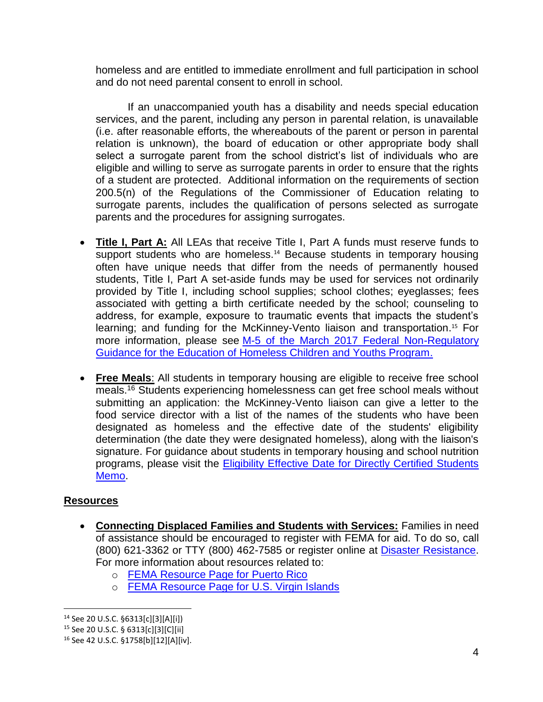homeless and are entitled to immediate enrollment and full participation in school and do not need parental consent to enroll in school.

If an unaccompanied youth has a disability and needs special education services, and the parent, including any person in parental relation, is unavailable (i.e. after reasonable efforts, the whereabouts of the parent or person in parental relation is unknown), the board of education or other appropriate body shall select a surrogate parent from the school district's list of individuals who are eligible and willing to serve as surrogate parents in order to ensure that the rights of a student are protected. Additional information on the requirements of [section](http://www.p12.nysed.gov/specialed/lawsregs/sect2005.htm)  [200.5\(n\) of the Regulations of the Commissioner of Education](http://www.p12.nysed.gov/specialed/lawsregs/sect2005.htm) relating to surrogate parents, includes the qualification of persons selected as surrogate parents and the procedures for assigning surrogates.

- **Title I, Part A:** All LEAs that receive Title I, Part A funds must reserve funds to support students who are homeless.<sup>14</sup> Because students in temporary housing often have unique needs that differ from the needs of permanently housed students, Title I, Part A set-aside funds may be used for services not ordinarily provided by Title I, including school supplies; school clothes; eyeglasses; fees associated with getting a birth certificate needed by the school; counseling to address, for example, exposure to traumatic events that impacts the student's learning; and funding for the McKinney-Vento liaison and transportation.<sup>15</sup> For more information, please see [M-5 of the March 2017 Federal Non-Regulatory](http://www.nysteachs.org/media/INF_Fed_MVGuidance_Mar_2017.pdf)  [Guidance for the Education of Homeless Children and Youths Program.](http://www.nysteachs.org/media/INF_Fed_MVGuidance_Mar_2017.pdf)
- **Free Meals**: All students in temporary housing are eligible to receive free school meals.<sup>16</sup> Students experiencing homelessness can get free school meals without submitting an application: the McKinney-Vento liaison can give a letter to the food service director with a list of the names of the students who have been designated as homeless and the effective date of the students' eligibility determination (the date they were designated homeless), along with the liaison's signature. For guidance about students in temporary housing and school nutrition programs, please visit the **Eligibility Effective Date for Directly Certified Students** [Memo.](https://www.fns.usda.gov/sites/default/files/cn/SP51-2014os.pdf)

# **Resources**

- **Connecting Displaced Families and Students with Services:** Families in need of assistance should be encouraged to register with FEMA for aid. To do so, call (800) 621-3362 or TTY (800) 462-7585 or register online at [Disaster Resistance.](http://www.disasterassistance.gov/) For more information about resources related to:
	- o [FEMA Resource Page for Puerto Rico](https://www.fema.gov/disaster/4339)
	- o [FEMA Resource Page for U.S. Virgin Islands](https://www.fema.gov/disaster/4340)

 $\overline{a}$ <sup>14</sup> See 20 U.S.C. §6313[c][3][A][i])

<sup>15</sup> See 20 U.S.C. § 6313[c][3][C][ii]

<sup>16</sup> See 42 U.S.C. §1758[b][12][A][iv].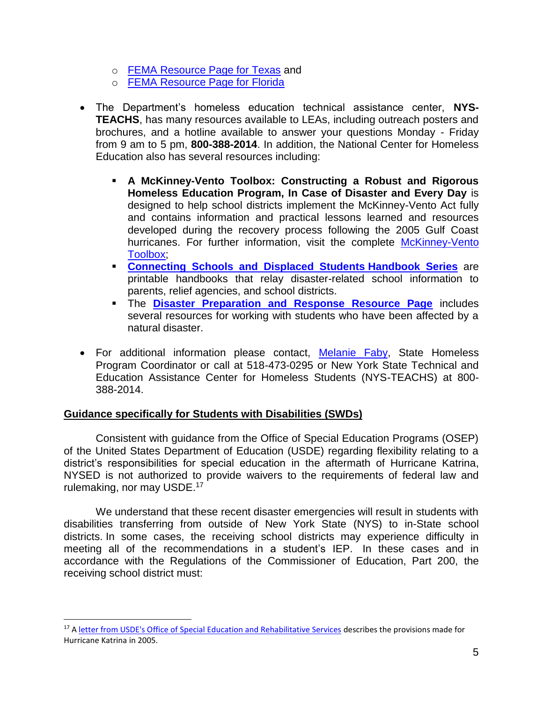- o [FEMA Resource Page for Texas](https://www.fema.gov/disaster/4332) and
- o [FEMA Resource Page for Florida](https://www.fema.gov/disaster/4337)
- The Department's homeless education technical assistance center, **NYS-TEACHS**, has many resources available to LEAs, including outreach posters and brochures, and a hotline available to answer your questions Monday - Friday from 9 am to 5 pm, **800-388-2014**. In addition, the National Center for Homeless Education also has several resources including:
	- **A McKinney-Vento Toolbox: Constructing a Robust and Rigorous Homeless Education Program, In Case of Disaster and Every Day** is designed to help school districts implement the McKinney-Vento Act fully and contains information and practical lessons learned and resources developed during the recovery process following the 2005 Gulf Coast hurricanes. For further information, visit the complete McKinney-Vento [Toolbox;](https://nche.ed.gov/pr/mv_dis_toolbox.php)
	- **[Connecting Schools and Displaced Students](http://nche.ed.gov/pr/dis_hb.php) Handbook Series** are printable handbooks that relay disaster-related school information to parents, relief agencies, and school districts.
	- **EXTE: The [Disaster Preparation and Response Resource Page](https://nche.ed.gov/ibt/dis_prep.php#students) includes** several resources for working with students who have been affected by a natural disaster.
- For additional information please contact, [Melanie Faby,](mailto:melanie.faby@nysed.gov) State Homeless Program Coordinator or call at 518-473-0295 or New York State Technical and Education Assistance Center for Homeless Students (NYS-TEACHS) at 800- 388-2014.

## **Guidance specifically for Students with Disabilities (SWDs)**

Consistent with guidance from the Office of Special Education Programs (OSEP) of the United States Department of Education (USDE) regarding flexibility relating to a district's responsibilities for special education in the aftermath of Hurricane Katrina, NYSED is not authorized to provide waivers to the requirements of federal law and rulemaking, nor may USDE.<sup>17</sup>

We understand that these recent disaster emergencies will result in students with disabilities transferring from outside of New York State (NYS) to in-State school districts. In some cases, the receiving school districts may experience difficulty in meeting all of the recommendations in a student's IEP. In these cases and in accordance with the Regulations of the Commissioner of Education, Part 200, the receiving school district must:

 $\overline{a}$ <sup>17</sup> A [letter from USDE's Office of Special Education and Rehabilitative Services](https://www2.ed.gov/policy/speced/guid/idea/letters/2005-4/jarvis102505iep4q2005.pdf) describes the provisions made for Hurricane Katrina in 2005.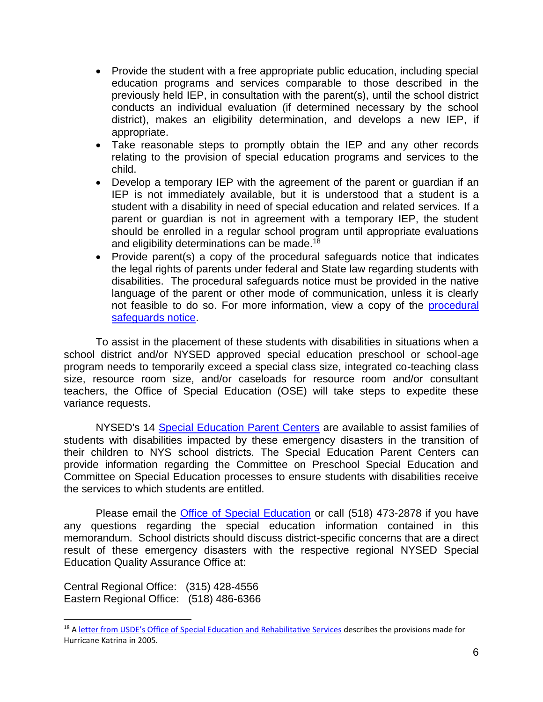- Provide the student with a free appropriate public education, including special education programs and services comparable to those described in the previously held IEP, in consultation with the parent(s), until the school district conducts an individual evaluation (if determined necessary by the school district), makes an eligibility determination, and develops a new IEP, if appropriate.
- Take reasonable steps to promptly obtain the IEP and any other records relating to the provision of special education programs and services to the child.
- Develop a temporary IEP with the agreement of the parent or guardian if an IEP is not immediately available, but it is understood that a student is a student with a disability in need of special education and related services. If a parent or guardian is not in agreement with a temporary IEP, the student should be enrolled in a regular school program until appropriate evaluations and eligibility determinations can be made.<sup>18</sup>
- Provide parent(s) a copy of the procedural safeguards notice that indicates the legal rights of parents under federal and State law regarding students with disabilities. The procedural safeguards notice must be provided in the native language of the parent or other mode of communication, unless it is clearly not feasible to do so. For more information, view a copy of the [procedural](http://www.p12.nysed.gov/specialed/formsnotices/procedural-safeguards-notice.htm)  [safeguards notice.](http://www.p12.nysed.gov/specialed/formsnotices/procedural-safeguards-notice.htm)

To assist in the placement of these students with disabilities in situations when a school district and/or NYSED approved special education preschool or school-age program needs to temporarily exceed a special class size, integrated co-teaching class size, resource room size, and/or caseloads for resource room and/or consultant teachers, the Office of Special Education (OSE) will take steps to expedite these variance requests.

NYSED's 14 [Special Education Parent Centers](http://www.p12.nysed.gov/specialed/techassist/parentcenters.htm) are available to assist families of students with disabilities impacted by these emergency disasters in the transition of their children to NYS school districts. The Special Education Parent Centers can provide information regarding the Committee on Preschool Special Education and Committee on Special Education processes to ensure students with disabilities receive the services to which students are entitled.

Please email the [Office of Special Education](mailto:speced@nysed.gov) or call (518) 473-2878 if you have any questions regarding the special education information contained in this memorandum. School districts should discuss district-specific concerns that are a direct result of these emergency disasters with the respective regional NYSED Special Education Quality Assurance Office at:

Central Regional Office: (315) 428-4556 Eastern Regional Office: (518) 486-6366

 $\overline{a}$ 

<sup>&</sup>lt;sup>18</sup> A letter [from USDE's Office of Special Education and Rehabilitative Services](https://www2.ed.gov/policy/speced/guid/idea/letters/2005-4/jarvis102505iep4q2005.pdf) describes the provisions made for Hurricane Katrina in 2005.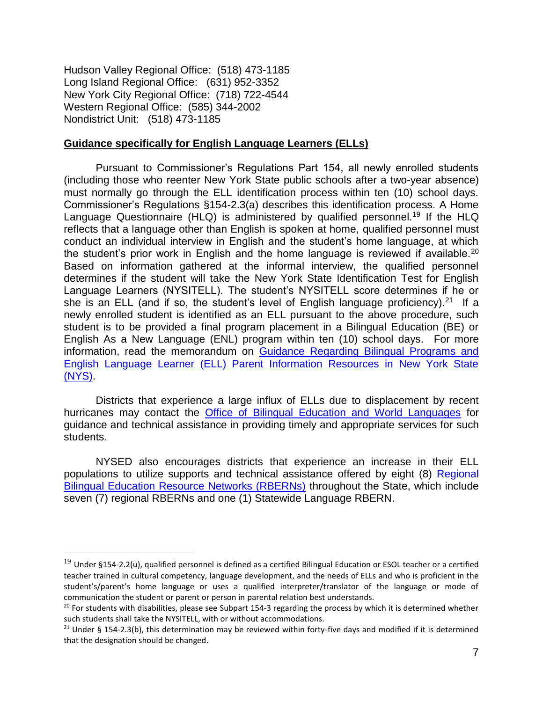Hudson Valley Regional Office: (518) 473-1185 Long Island Regional Office: (631) 952-3352 New York City Regional Office: (718) 722-4544 Western Regional Office: (585) 344-2002 Nondistrict Unit: (518) 473-1185

 $\overline{a}$ 

#### **Guidance specifically for English Language Learners (ELLs)**

Pursuant to Commissioner's Regulations Part 154, all newly enrolled students (including those who reenter New York State public schools after a two-year absence) must normally go through the ELL identification process within ten (10) school days. Commissioner's Regulations §154-2.3(a) describes this identification process. A Home Language Questionnaire (HLQ) is administered by qualified personnel.<sup>19</sup> If the HLQ reflects that a language other than English is spoken at home, qualified personnel must conduct an individual interview in English and the student's home language, at which the student's prior work in English and the home language is reviewed if available.<sup>20</sup> Based on information gathered at the informal interview, the qualified personnel determines if the student will take the New York State Identification Test for English Language Learners (NYSITELL). The student's NYSITELL score determines if he or she is an ELL (and if so, the student's level of English language proficiency).<sup>21</sup> If a newly enrolled student is identified as an ELL pursuant to the above procedure, such student is to be provided a final program placement in a Bilingual Education (BE) or English As a New Language (ENL) program within ten (10) school days. For more information, read the memorandum on Guidance Regarding Bilingual Programs and [English Language Learner \(ELL\) Parent Information Resources in New York State](http://www.nysed.gov/common/nysed/files/programs/bilingual-ed/memo_be_trigger_guidance.pdf)  [\(NYS\).](http://www.nysed.gov/common/nysed/files/programs/bilingual-ed/memo_be_trigger_guidance.pdf)

Districts that experience a large influx of ELLs due to displacement by recent hurricanes may contact the [Office of Bilingual Education and World Languages](mailto:obewl@nysed.gov) for guidance and technical assistance in providing timely and appropriate services for such students.

NYSED also encourages districts that experience an increase in their ELL populations to utilize supports and technical assistance offered by eight (8) [Regional](http://www.nysed.gov/bilingual-ed/schools/regional-supportrberns)  [Bilingual Education Resource Networks \(RBERNs\)](http://www.nysed.gov/bilingual-ed/schools/regional-supportrberns) throughout the State, which include seven (7) regional RBERNs and one (1) Statewide Language RBERN.

 $19$  Under §154-2.2(u), qualified personnel is defined as a certified Bilingual Education or ESOL teacher or a certified teacher trained in cultural competency, language development, and the needs of ELLs and who is proficient in the student's/parent's home language or uses a qualified interpreter/translator of the language or mode of communication the student or parent or person in parental relation best understands.

<sup>&</sup>lt;sup>20</sup> For students with disabilities, please see Subpart 154-3 regarding the process by which it is determined whether such students shall take the NYSITELL, with or without accommodations.

<sup>&</sup>lt;sup>21</sup> Under § 154-2.3(b), this determination may be reviewed within forty-five days and modified if it is determined that the designation should be changed.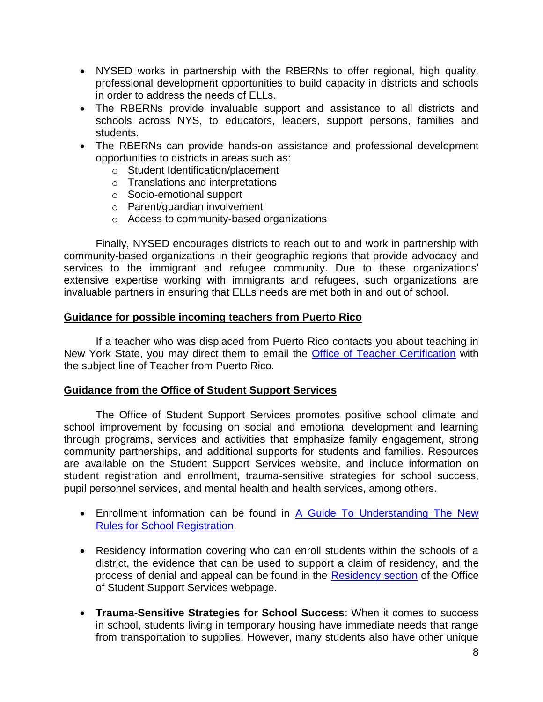- NYSED works in partnership with the RBERNs to offer regional, high quality, professional development opportunities to build capacity in districts and schools in order to address the needs of ELLs.
- The RBERNs provide invaluable support and assistance to all districts and schools across NYS, to educators, leaders, support persons, families and students.
- The RBERNs can provide hands-on assistance and professional development opportunities to districts in areas such as:
	- o Student Identification/placement
	- o Translations and interpretations
	- o Socio-emotional support
	- o Parent/guardian involvement
	- o Access to community-based organizations

Finally, NYSED encourages districts to reach out to and work in partnership with community-based organizations in their geographic regions that provide advocacy and services to the immigrant and refugee community. Due to these organizations' extensive expertise working with immigrants and refugees, such organizations are invaluable partners in ensuring that ELLs needs are met both in and out of school.

#### **Guidance for possible incoming teachers from Puerto Rico**

If a teacher who was displaced from Puerto Rico contacts you about teaching in New York State, you may direct them to email the [Office of Teacher Certification](mailto:tcert@nysed.gov) with the subject line of Teacher from Puerto Rico.

#### **Guidance from the Office of Student Support Services**

The Office of Student Support Services promotes positive school climate and school improvement by focusing on social and emotional development and learning through programs, services and activities that emphasize family engagement, strong community partnerships, and additional supports for students and families. Resources are available on the [Student Support Services website,](http://www.p12.nysed.gov/sss/) and include information on student registration and enrollment, trauma-sensitive strategies for school success, pupil personnel services, and mental health and health services, among others.

- Enrollment information can be found in [A Guide To Understanding The New](http://www.p12.nysed.gov/sss/documents/EnrollmentBrochure_English.pdf)  [Rules for School Registration.](http://www.p12.nysed.gov/sss/documents/EnrollmentBrochure_English.pdf)
- Residency information covering who can enroll students within the schools of a district, the evidence that can be used to support a claim of residency, and the process of denial and appeal can be found in the [Residency section](http://www.p12.nysed.gov/sss/pps/residency/) of the Office of Student Support Services webpage.
- **Trauma-Sensitive Strategies for School Success**: When it comes to success in school, students living in temporary housing have immediate needs that range from transportation to supplies. However, many students also have other unique